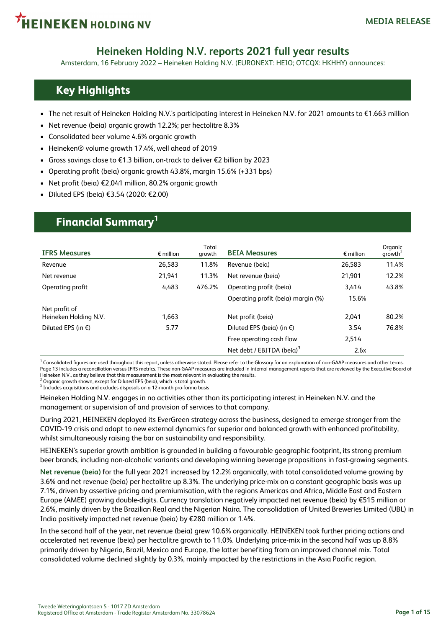

### **Heineken Holding N.V. reports 2021 full year results**

Amsterdam, 16 February 2022 – Heineken Holding N.V. (EURONEXT: HEIO; OTCQX: HKHHY) announces:

### **Key Highlights**

- The net result of Heineken Holding N.V.'s participating interest in Heineken N.V. for 2021 amounts to €1.663 million
- Net revenue (beia) organic growth 12.2%; per hectolitre 8.3%
- Consolidated beer volume 4.6% organic growth
- Heineken® volume growth 17.4%, well ahead of 2019
- Gross savings close to €1.3 billion, on-track to deliver €2 billion by 2023
- Operating profit (beia) organic growth 43.8%, margin 15.6% (+331 bps)
- Net profit (beia) €2,041 million, 80.2% organic growth
- Diluted EPS (beia) €3.54 (2020: €2.00)

### **Financial Summary<sup>1</sup>**

| <b>IFRS Measures</b>                   | $\epsilon$ million | Total<br>growth | <b>BEIA Measures</b>                | $\epsilon$ million | Organic<br>growth <sup>2</sup> |
|----------------------------------------|--------------------|-----------------|-------------------------------------|--------------------|--------------------------------|
| Revenue                                | 26,583             | 11.8%           | Revenue (beia)                      | 26.583             | 11.4%                          |
| Net revenue                            | 21,941             | 11.3%           | Net revenue (beig)                  | 21.901             | 12.2%                          |
| Operating profit                       | 4,483              | 476.2%          | Operating profit (beia)             | 3.414              | 43.8%                          |
|                                        |                    |                 | Operating profit (beia) margin (%)  | 15.6%              |                                |
| Net profit of<br>Heineken Holding N.V. | 1,663              |                 | Net profit (beig)                   | 2.041              | 80.2%                          |
| Diluted EPS (in $\epsilon$ )           | 5.77               |                 | Diluted EPS (beia) (in $\epsilon$ ) | 3.54               | 76.8%                          |
|                                        |                    |                 | Free operating cash flow            | 2,514              |                                |
|                                        |                    |                 | Net debt / EBITDA (beia) $3$        | 2.6x               |                                |

 $^{\rm 1}$  Consolidated figures are used throughout this report, unless otherwise stated. Please refer to the Glossary for an explanation of non-GAAP measures and other terms. Page 13 includes a reconciliation versus IFRS metrics. These non-GAAP measures are included in internal management reports that are reviewed by the Executive Board of Heineken N.V., as they believe that this measurement is the most relevant in evaluating the results.

2 Organic growth shown, except for Diluted EPS (beia), which is total growth.  $^3$  Includes acquisitions and excludes disposals on a 12-month pro-forma basis

Heineken Holding N.V. engages in no activities other than its participating interest in Heineken N.V. and the

management or supervision of and provision of services to that company.

During 2021, HEINEKEN deployed its EverGreen strategy across the business, designed to emerge stronger from the COVID-19 crisis and adapt to new external dynamics for superior and balanced growth with enhanced profitability, whilst simultaneously raising the bar on sustainability and responsibility.

HEINEKEN's superior growth ambition is grounded in building a favourable geographic footprint, its strong premium beer brands, including non-alcoholic variants and developing winning beverage propositions in fast-growing segments.

**Net revenue (beia)** for the full year 2021 increased by 12.2% organically, with total consolidated volume growing by 3.6% and net revenue (beia) per hectolitre up 8.3%. The underlying price-mix on a constant geographic basis was up 7.1%, driven by assertive pricing and premiumisation, with the regions Americas and Africa, Middle East and Eastern Europe (AMEE) growing double-digits. Currency translation negatively impacted net revenue (beia) by €515 million or 2.6%, mainly driven by the Brazilian Real and the Nigerian Naira. The consolidation of United Breweries Limited (UBL) in India positively impacted net revenue (beia) by €280 million or 1.4%.

In the second half of the year, net revenue (beia) grew 10.6% organically. HEINEKEN took further pricing actions and accelerated net revenue (beia) per hectolitre growth to 11.0%. Underlying price-mix in the second half was up 8.8% primarily driven by Nigeria, Brazil, Mexico and Europe, the latter benefiting from an improved channel mix. Total consolidated volume declined slightly by 0.3%, mainly impacted by the restrictions in the Asia Pacific region.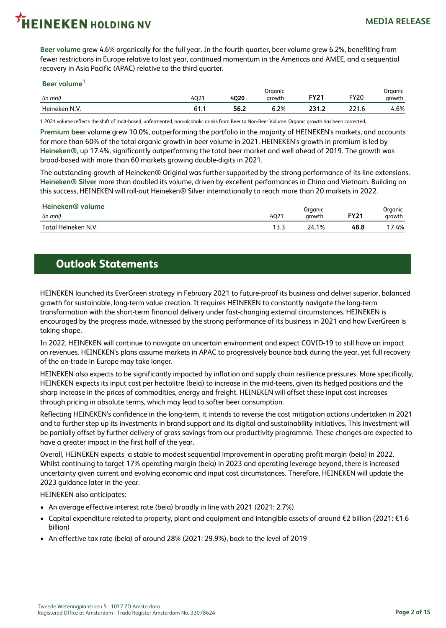# **EINEKEN HOLDING NV**

**Beer volume** grew 4.6% organically for the full year. In the fourth quarter, beer volume grew 6.2%, benefiting from fewer restrictions in Europe relative to last year, continued momentum in the Americas and AMEE, and a sequential recovery in Asia Pacific (APAC) relative to the third quarter.

#### **Beer volume<sup>1</sup>**

| (in mhl)     | $\sim$<br>4Qz | <b>4Q20</b> | Organic<br>growth | יר עם             | <b>FY20</b>          | Organic<br>growth |
|--------------|---------------|-------------|-------------------|-------------------|----------------------|-------------------|
| Heineken N V | м<br>01.1     | 56.2        | ა.2%<br>- - - -   | າາ 4<br><br>_____ | $\sim$ $\sim$ $\sim$ | 1.6%              |

1 2021 volume reflects the shift of malt-based, unfermented, non-alcoholic drinks from Beer to Non-Beer Volume. Organic growth has been corrected.

**Premium beer** volume grew 10.0%, outperforming the portfolio in the majority of HEINEKEN's markets, and accounts for more than 60% of the total organic growth in beer volume in 2021. HEINEKEN's growth in premium is led by **Heineken®**, up 17.4%, significantly outperforming the total beer market and well ahead of 2019. The growth was broad-based with more than 60 markets growing double-digits in 2021.

The outstanding growth of Heineken® Original was further supported by the strong performance of its line extensions. **Heineken® Silver** more than doubled its volume, driven by excellent performances in China and Vietnam. Building on this success, HEINEKEN will roll-out Heineken® Silver internationally to reach more than 20 markets in 2022.

| Heineken <sup>®</sup> volume | Organic          |        |             |                   |  |  |
|------------------------------|------------------|--------|-------------|-------------------|--|--|
| (in mhl)                     | 402 <sup>1</sup> | arowth | <b>FY21</b> | Organic<br>growth |  |  |
| Total Heineken N.V.          | .                | 24.1%  | 48.8        | 17.4%             |  |  |

### **Outlook Statements**

HEINEKEN launched its EverGreen strategy in February 2021 to future-proof its business and deliver superior, balanced growth for sustainable, long-term value creation. It requires HEINEKEN to constantly navigate the long-term transformation with the short-term financial delivery under fast-changing external circumstances. HEINEKEN is encouraged by the progress made, witnessed by the strong performance of its business in 2021 and how EverGreen is taking shape.

In 2022, HEINEKEN will continue to navigate an uncertain environment and expect COVID-19 to still have an impact on revenues. HEINEKEN's plans assume markets in APAC to progressively bounce back during the year, yet full recovery of the on-trade in Europe may take longer.

HEINEKEN also expects to be significantly impacted by inflation and supply chain resilience pressures. More specifically, HEINEKEN expects its input cost per hectolitre (beia) to increase in the mid-teens, given its hedged positions and the sharp increase in the prices of commodities, energy and freight. HEINEKEN will offset these input cost increases through pricing in absolute terms, which may lead to softer beer consumption.

Reflecting HEINEKEN's confidence in the long-term, it intends to reverse the cost mitigation actions undertaken in 2021 and to further step up its investments in brand support and its digital and sustainability initiatives. This investment will be partially offset by further delivery of gross savings from our productivity programme. These changes are expected to have a greater impact in the first half of the year.

Overall, HEINEKEN expects a stable to modest sequential improvement in operating profit margin (beia) in 2022. Whilst continuing to target 17% operating margin (beia) in 2023 and operating leverage beyond, there is increased uncertainty given current and evolving economic and input cost circumstances. Therefore, HEINEKEN will update the 2023 guidance later in the year.

HEINEKEN also anticipates:

- An average effective interest rate (beia) broadly in line with 2021 (2021: 2.7%)
- Capital expenditure related to property, plant and equipment and intangible assets of around €2 billion (2021: €1.6 billion)
- An effective tax rate (beia) of around 28% (2021: 29.9%), back to the level of 2019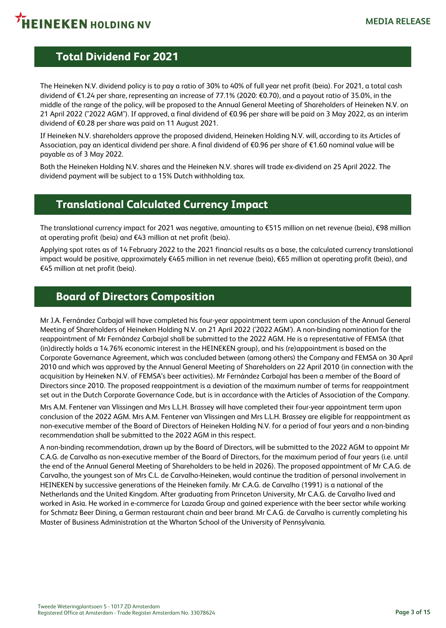### **Total Dividend For 2021**

The Heineken N.V. dividend policy is to pay a ratio of 30% to 40% of full year net profit (beia). For 2021, a total cash dividend of €1.24 per share, representing an increase of 77.1% (2020: €0.70), and a payout ratio of 35.0%, in the middle of the range of the policy, will be proposed to the Annual General Meeting of Shareholders of Heineken N.V. on 21 April 2022 ("2022 AGM"). If approved, a final dividend of €0.96 per share will be paid on 3 May 2022, as an interim dividend of €0.28 per share was paid on 11 August 2021.

If Heineken N.V. shareholders approve the proposed dividend, Heineken Holding N.V. will, according to its Articles of Association, pay an identical dividend per share. A final dividend of €0.96 per share of €1.60 nominal value will be payable as of 3 May 2022.

Both the Heineken Holding N.V. shares and the Heineken N.V. shares will trade ex-dividend on 25 April 2022. The dividend payment will be subject to a 15% Dutch withholding tax.

### **Translational Calculated Currency Impact**

The translational currency impact for 2021 was negative, amounting to €515 million on net revenue (beia), €98 million at operating profit (beia) and €43 million at net profit (beia).

Applying spot rates as of 14 February 2022 to the 2021 financial results as a base, the calculated currency translational impact would be positive, approximately €465 million in net revenue (beia), €65 million at operating profit (beia), and €45 million at net profit (beia).

### **Board of Directors Composition**

Mr J.A. Fernández Carbajal will have completed his four-year appointment term upon conclusion of the Annual General Meeting of Shareholders of Heineken Holding N.V. on 21 April 2022 ('2022 AGM'). A non-binding nomination for the reappointment of Mr Fernández Carbajal shall be submitted to the 2022 AGM. He is a representative of FEMSA (that (in)directly holds a 14.76% economic interest in the HEINEKEN group), and his (re)appointment is based on the Corporate Governance Agreement, which was concluded between (among others) the Company and FEMSA on 30 April 2010 and which was approved by the Annual General Meeting of Shareholders on 22 April 2010 (in connection with the acquisition by Heineken N.V. of FEMSA's beer activities). Mr Fernández Carbajal has been a member of the Board of Directors since 2010. The proposed reappointment is a deviation of the maximum number of terms for reappointment set out in the Dutch Corporate Governance Code, but is in accordance with the Articles of Association of the Company.

Mrs A.M. Fentener van Vlissingen and Mrs L.L.H. Brassey will have completed their four-year appointment term upon conclusion of the 2022 AGM. Mrs A.M. Fentener van Vlissingen and Mrs L.L.H. Brassey are eligible for reappointment as non-executive member of the Board of Directors of Heineken Holding N.V. for a period of four years and a non-binding recommendation shall be submitted to the 2022 AGM in this respect.

A non-binding recommendation, drawn up by the Board of Directors, will be submitted to the 2022 AGM to appoint Mr C.A.G. de Carvalho as non-executive member of the Board of Directors, for the maximum period of four years (i.e. until the end of the Annual General Meeting of Shareholders to be held in 2026). The proposed appointment of Mr C.A.G. de Carvalho, the youngest son of Mrs C.L. de Carvalho-Heineken, would continue the tradition of personal involvement in HEINEKEN by successive generations of the Heineken family. Mr C.A.G. de Carvalho (1991) is a national of the Netherlands and the United Kingdom. After graduating from Princeton University, Mr C.A.G. de Carvalho lived and worked in Asia. He worked in e-commerce for Lazada Group and gained experience with the beer sector while working for Schmatz Beer Dining, a German restaurant chain and beer brand. Mr C.A.G. de Carvalho is currently completing his Master of Business Administration at the Wharton School of the University of Pennsylvania.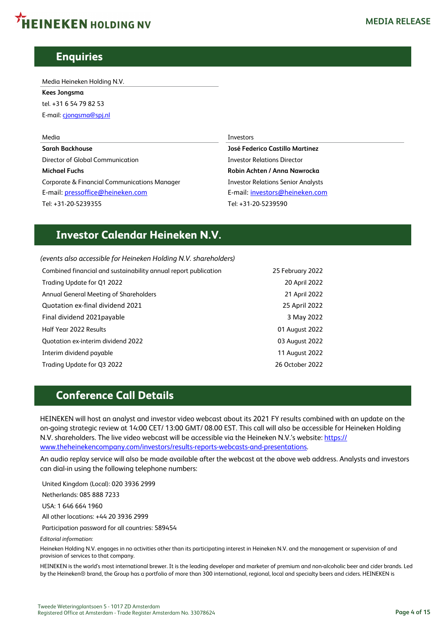# **HEINEKEN HOLDING NV**

### **Enquiries**

Media Heineken Holding N.V.

**Kees Jongsma** tel. +31 6 54 79 82 53 E-mail: [cjongsma@spj.nl](mailto:cjongsma@spj.nl)

**Sarah Backhouse José Federico Castillo Martinez** Director of Global Communication **Investor Relations** Director **Michael Fuchs Robin Achten / Anna Nawrocka** Corporate & Financial Communications Manager **Investor Relations Senior Analysts** E-mail: [pressoffice@heineken.com](mailto:pressoffice@heineken.com) **E-mail:** [investors@heineken.com](mailto:investors@heineken.com) Tel: +31-20-5239355 Tel: +31-20-5239590

#### Media Investors

### **Investor Calendar Heineken N.V.**

*(events also accessible for Heineken Holding N.V. shareholders)* Combined financial and sustainability annual report publication 25 February 2022 Trading Update for Q1 2022 20 April 2022 Annual General Meeting of Shareholders 21 April 2022 Quotation ex-final dividend 2021 25 April 2022 Final dividend 2021payable 3 May 2022 Half Year 2022 Results 01 August 2022 Quotation ex-interim dividend 2022 03 August 2022 Interim dividend payable 11 August 2022 Trading Update for Q3 2022 26 October 2022

### **Conference Call Details**

HEINEKEN will host an analyst and investor video webcast about its 2021 FY results combined with an update on the on-going strategic review at 14:00 CET/ 13:00 GMT/ 08.00 EST. This call will also be accessible for Heineken Holding N.V. shareholders. The live video webcast will be accessible via the Heineken N.V.'s website: [https://](https://www.theheinekencompany.com/investors/results-reports-webcasts-and-presentations) [www.theheinekencompany.com/investors/results-reports-webcasts-and-presentations.](https://www.theheinekencompany.com/investors/results-reports-webcasts-and-presentations)

An audio replay service will also be made available after the webcast at the above web address. Analysts and investors can dial-in using the following telephone numbers:

United Kingdom (Local): 020 3936 2999

Netherlands: 085 888 7233

USA: 1 646 664 1960

All other locations: +44 20 3936 2999

Participation password for all countries: 589454

*Editorial information:*

Heineken Holding N.V. engages in no activities other than its participating interest in Heineken N.V. and the management or supervision of and provision of services to that company.

HEINEKEN is the world's most international brewer. It is the leading developer and marketer of premium and non-alcoholic beer and cider brands. Led by the Heineken® brand, the Group has a portfolio of more than 300 international, regional, local and specialty beers and ciders. HEINEKEN is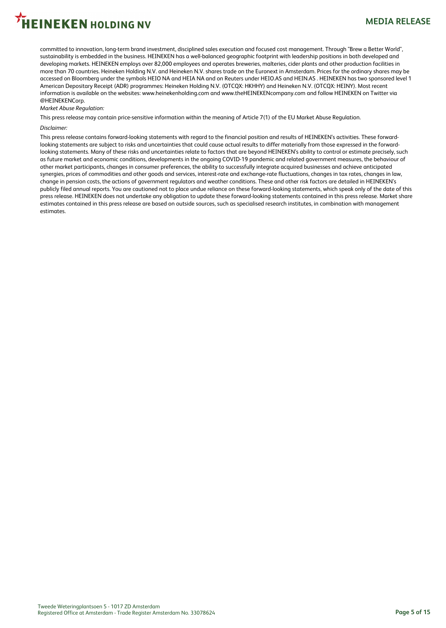# .<br>HEINEKEN HOLDING NV

committed to innovation, long-term brand investment, disciplined sales execution and focused cost management. Through "Brew a Better World", sustainability is embedded in the business. HEINEKEN has a well-balanced geographic footprint with leadership positions in both developed and developing markets. HEINEKEN employs over 82,000 employees and operates breweries, malteries, cider plants and other production facilities in more than 70 countries. Heineken Holding N.V. and Heineken N.V. shares trade on the Euronext in Amsterdam. Prices for the ordinary shares may be accessed on Bloomberg under the symbols HEIO NA and HEIA NA and on Reuters under HEIO.AS and HEIN.AS . HEINEKEN has two sponsored level 1 American Depositary Receipt (ADR) programmes: Heineken Holding N.V. (OTCQX: HKHHY) and Heineken N.V. (OTCQX: HEINY). Most recent information is available on the websites: www.heinekenholding.com and www.theHEINEKENcompany.com and follow HEINEKEN on Twitter via @HEINEKENCorp.

#### *Market Abuse Regulation:*

This press release may contain price-sensitive information within the meaning of Article 7(1) of the EU Market Abuse Regulation.

#### *Disclaimer:*

This press release contains forward-looking statements with regard to the financial position and results of HEINEKEN's activities. These forwardlooking statements are subject to risks and uncertainties that could cause actual results to differ materially from those expressed in the forwardlooking statements. Many of these risks and uncertainties relate to factors that are beyond HEINEKEN's ability to control or estimate precisely, such as future market and economic conditions, developments in the ongoing COVID-19 pandemic and related government measures, the behaviour of other market participants, changes in consumer preferences, the ability to successfully integrate acquired businesses and achieve anticipated synergies, prices of commodities and other goods and services, interest-rate and exchange-rate fluctuations, changes in tax rates, changes in law, change in pension costs, the actions of government regulators and weather conditions. These and other risk factors are detailed in HEINEKEN's publicly filed annual reports. You are cautioned not to place undue reliance on these forward-looking statements, which speak only of the date of this press release. HEINEKEN does not undertake any obligation to update these forward-looking statements contained in this press release. Market share estimates contained in this press release are based on outside sources, such as specialised research institutes, in combination with management estimates.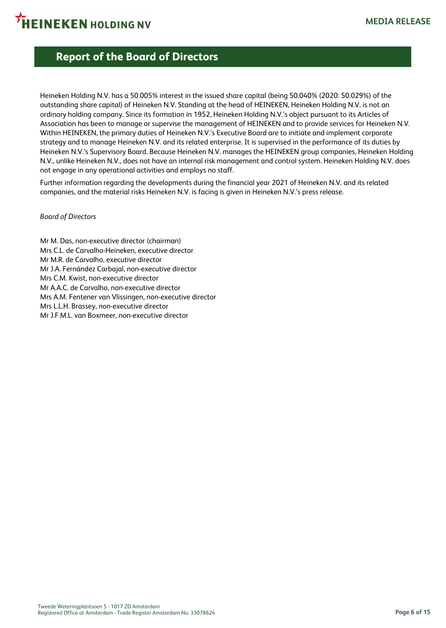

### **Report of the Board of Directors**

Heineken Holding N.V. has a 50.005% interest in the issued share capital (being 50.040% (2020: 50.029%) of the outstanding share capital) of Heineken N.V. Standing at the head of HEINEKEN, Heineken Holding N.V. is not an ordinary holding company. Since its formation in 1952, Heineken Holding N.V.'s object pursuant to its Articles of Association has been to manage or supervise the management of HEINEKEN and to provide services for Heineken N.V. Within HEINEKEN, the primary duties of Heineken N.V.'s Executive Board are to initiate and implement corporate strategy and to manage Heineken N.V. and its related enterprise. It is supervised in the performance of its duties by Heineken N.V.'s Supervisory Board. Because Heineken N.V. manages the HEINEKEN group companies, Heineken Holding N.V., unlike Heineken N.V., does not have an internal risk management and control system. Heineken Holding N.V. does not engage in any operational activities and employs no staff.

Further information regarding the developments during the financial year 2021 of Heineken N.V. and its related companies, and the material risks Heineken N.V. is facing is given in Heineken N.V.'s press release.

#### *Board of Directors*

Mr M. Das, non-executive director (chairman) Mrs C.L. de Carvalho-Heineken, executive director Mr M.R. de Carvalho, executive director Mr J.A. Fernández Carbajal, non-executive director Mrs C.M. Kwist, non-executive director Mr A.A.C. de Carvalho, non-executive director Mrs A.M. Fentener van Vlissingen, non-executive director Mrs L.L.H. Brassey, non-executive director Mr J.F.M.L. van Boxmeer, non-executive director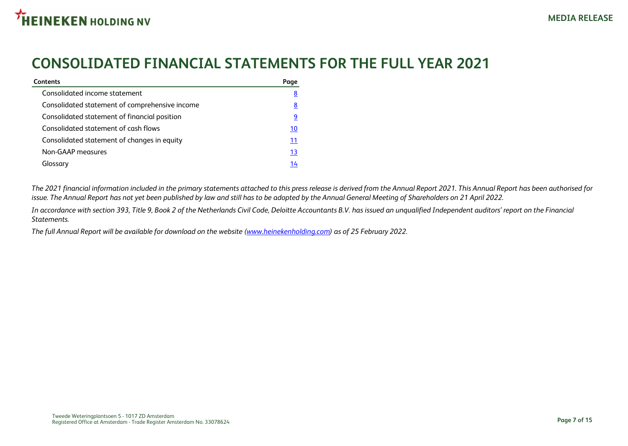## **CONSOLIDATED FINANCIAL STATEMENTS FOR THE FULL YEAR 2021**

| <b>Contents</b>                                | Page      |
|------------------------------------------------|-----------|
| Consolidated income statement                  | <u>8</u>  |
| Consolidated statement of comprehensive income | <u>8</u>  |
| Consolidated statement of financial position   | 9         |
| Consolidated statement of cash flows           | <u>10</u> |
| Consolidated statement of changes in equity    | 11        |
| Non-GAAP measures                              | <u>13</u> |
| Glossarv                                       | 14        |

*The 2021 financial information included in the primary statements attached to this press release is derived from the Annual Report 2021. This Annual Report has been authorised for issue. The Annual Report has not yet been published by law and still has to be adopted by the Annual General Meeting of Shareholders on 21 April 2022.*

*In accordance with section 393, Title 9, Book 2 of the Netherlands Civil Code, Deloitte Accountants B.V. has issued an unqualified Independent auditors' report on the Financial Statements.*

*The full Annual Report will be available for download on the website ([www.heinekenholding.com\)](https://heinekenholding.com/) as of 25 February 2022.*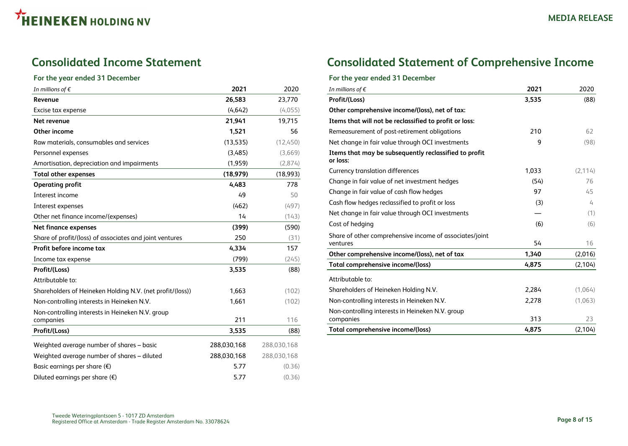### <span id="page-7-0"></span>**Consolidated Income Statement**

#### **For the year ended 31 December**

| In millions of $\epsilon$                                 | 2021        | 2020        |
|-----------------------------------------------------------|-------------|-------------|
| Revenue                                                   | 26,583      | 23,770      |
| Excise tax expense                                        | (4,642)     | (4,055)     |
| Net revenue                                               | 21,941      | 19,715      |
| Other income                                              | 1,521       | 56          |
| Raw materials, consumables and services                   | (13, 535)   | (12, 450)   |
| Personnel expenses                                        | (3,485)     | (3,669)     |
| Amortisation, depreciation and impairments                | (1,959)     | (2,874)     |
| <b>Total other expenses</b>                               | (18, 979)   | (18,993)    |
| <b>Operating profit</b>                                   | 4,483       | 778         |
| Interest income                                           | 49          | 50          |
| Interest expenses                                         | (462)       | (497)       |
| Other net finance income/(expenses)                       | 14          | (143)       |
| Net finance expenses                                      | (399)       | (590)       |
| Share of profit/(loss) of associates and joint ventures   | 250         | (31)        |
| Profit before income tax                                  | 4,334       | 157         |
| Income tax expense                                        | (799)       | (245)       |
| Profit/(Loss)                                             | 3,535       | (88)        |
| Attributable to:                                          |             |             |
| Shareholders of Heineken Holding N.V. (net profit/(loss)) | 1,663       | (102)       |
| Non-controlling interests in Heineken N.V.                | 1,661       | (102)       |
| Non-controlling interests in Heineken N.V. group          |             |             |
| companies                                                 | 211         | 116         |
| Profit/(Loss)                                             | 3,535       | (88)        |
| Weighted average number of shares - basic                 | 288,030,168 | 288,030,168 |
| Weighted average number of shares - diluted               | 288,030,168 | 288,030,168 |
| Basic earnings per share $(\epsilon)$                     | 5.77        | (0.36)      |
| Diluted earnings per share $(\epsilon)$                   | 5.77        | (0.36)      |

### **Consolidated Statement of Comprehensive Income**

#### **For the year ended 31 December**

| In millions of $\epsilon$                                           | 2021  | 2020     |
|---------------------------------------------------------------------|-------|----------|
| Profit/(Loss)                                                       | 3,535 | (88)     |
| Other comprehensive income/(loss), net of tax:                      |       |          |
| Items that will not be reclassified to profit or loss:              |       |          |
| Remeasurement of post-retirement obligations                        | 210   | 62       |
| Net change in fair value through OCI investments                    | 9     | (98)     |
| Items that may be subsequently reclassified to profit<br>or loss:   |       |          |
| Currency translation differences                                    | 1,033 | (2, 114) |
| Change in fair value of net investment hedges                       | (54)  | 76       |
| Change in fair value of cash flow hedges                            | 97    | 45       |
| Cash flow hedges reclassified to profit or loss                     | (3)   | 4        |
| Net change in fair value through OCI investments                    |       | (1)      |
| Cost of hedging                                                     | (6)   | (6)      |
| Share of other comprehensive income of associates/joint<br>ventures | 54    | 16       |
| Other comprehensive income/(loss), net of tax                       | 1,340 | (2,016)  |
| Total comprehensive income/(loss)                                   | 4,875 | (2, 104) |
| Attributable to:                                                    |       |          |
| Shareholders of Heineken Holding N.V.                               | 2,284 | (1,064)  |
| Non-controlling interests in Heineken N.V.                          | 2,278 | (1,063)  |
| Non-controlling interests in Heineken N.V. group<br>companies       | 313   | 23       |
| Total comprehensive income/(loss)                                   | 4,875 | (2, 104) |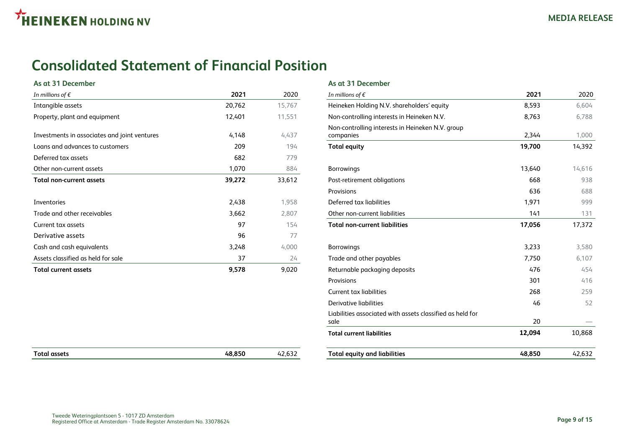### <span id="page-8-0"></span>**Consolidated Statement of Financial Position**

#### **As at 31 December As at 31 December**

| In millions of $\epsilon$                    | 2021   | 2020   | In millions of $\epsilon$                                     | 2021   | 2020   |
|----------------------------------------------|--------|--------|---------------------------------------------------------------|--------|--------|
| Intangible assets                            | 20,762 | 15,767 | Heineken Holding N.V. shareholders' equity                    | 8,593  | 6,604  |
| Property, plant and equipment                | 12,401 | 11,551 | Non-controlling interests in Heineken N.V.                    | 8,763  | 6,788  |
| Investments in associates and joint ventures | 4,148  | 4,437  | Non-controlling interests in Heineken N.V. group<br>companies | 2,344  | 1,000  |
| Loans and advances to customers              | 209    | 194    | <b>Total equity</b>                                           | 19,700 | 14,392 |
| Deferred tax assets                          | 682    | 779    |                                                               |        |        |
| Other non-current assets                     | 1,070  | 884    | <b>Borrowings</b>                                             | 13,640 | 14,616 |
| Total non-current assets                     | 39,272 | 33,612 | Post-retirement obligations                                   | 668    | 938    |
|                                              |        |        | Provisions                                                    | 636    | 688    |
| Inventories                                  | 2,438  | 1,958  | Deferred tax liabilities                                      | 1,971  | 999    |
| Trade and other receivables                  | 3,662  | 2,807  | Other non-current liabilities                                 | 141    | 131    |
| Current tax assets                           | 97     | 154    | <b>Total non-current liabilities</b>                          | 17,056 | 17,372 |
| Derivative assets                            | 96     | 77     |                                                               |        |        |
| Cash and cash equivalents                    | 3,248  | 4,000  | <b>Borrowings</b>                                             | 3,233  | 3,580  |
| Assets classified as held for sale           | 37     | 24     | Trade and other payables                                      | 7,750  | 6,107  |
| Total current assets                         | 9,578  | 9,020  | Returnable packaging deposits                                 | 476    | 454    |

| In millions of $\epsilon$                    | 2021   | 2020   | In millions of $\epsilon$                                         | 2021   | 2020   |
|----------------------------------------------|--------|--------|-------------------------------------------------------------------|--------|--------|
| Intangible assets                            | 20,762 | 15,767 | Heineken Holding N.V. shareholders' equity                        | 8,593  | 6,604  |
| Property, plant and equipment                | 12,401 | 11,551 | Non-controlling interests in Heineken N.V.                        | 8,763  | 6,788  |
| Investments in associates and joint ventures | 4,148  | 4,437  | Non-controlling interests in Heineken N.V. group<br>companies     | 2,344  | 1,000  |
| Loans and advances to customers              | 209    | 194    | <b>Total equity</b>                                               | 19,700 | 14,392 |
| Deferred tax assets                          | 682    | 779    |                                                                   |        |        |
| Other non-current assets                     | 1,070  | 884    | <b>Borrowings</b>                                                 | 13,640 | 14,616 |
| Total non-current assets                     | 39,272 | 33,612 | Post-retirement obligations                                       | 668    | 938    |
|                                              |        |        | Provisions                                                        | 636    | 688    |
| Inventories                                  | 2,438  | 1,958  | Deferred tax liabilities                                          | 1,971  | 999    |
| Trade and other receivables                  | 3,662  | 2,807  | Other non-current liabilities                                     | 141    | 131    |
| Current tax assets                           | 97     | 154    | <b>Total non-current liabilities</b>                              | 17,056 | 17,372 |
| Derivative assets                            | 96     | 77     |                                                                   |        |        |
| Cash and cash equivalents                    | 3,248  | 4,000  | <b>Borrowings</b>                                                 | 3,233  | 3,580  |
| Assets classified as held for sale           | 37     | 24     | Trade and other payables                                          | 7,750  | 6,107  |
| Total current assets                         | 9,578  | 9,020  | Returnable packaging deposits                                     | 476    | 454    |
|                                              |        |        | Provisions                                                        | 301    | 416    |
|                                              |        |        | Current tax liabilities                                           | 268    | 259    |
|                                              |        |        | <b>Derivative liabilities</b>                                     | 46     | 52     |
|                                              |        |        | Liabilities associated with assets classified as held for<br>sale | 20     |        |
|                                              |        |        | <b>Total current liabilities</b>                                  | 12,094 | 10,868 |
| <b>Total assets</b>                          | 48,850 | 42,632 | <b>Total equity and liabilities</b>                               | 48,850 | 42,632 |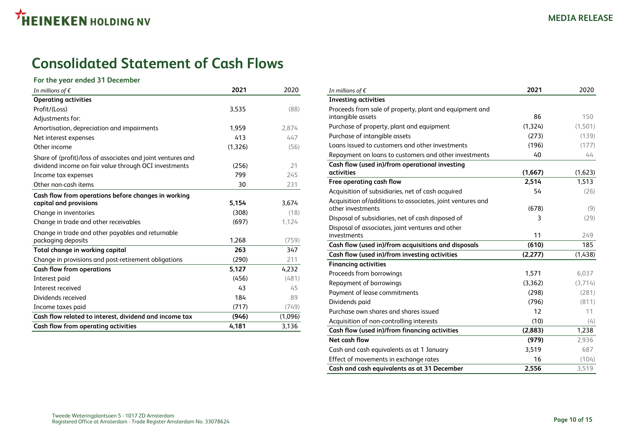## <span id="page-9-0"></span>**Consolidated Statement of Cash Flows**

#### **For the year ended 31 December**

| In millions of $\epsilon$                                                                                                                   | 2021         | 2020      |
|---------------------------------------------------------------------------------------------------------------------------------------------|--------------|-----------|
| <b>Operating activities</b>                                                                                                                 |              |           |
| Profit/(Loss)                                                                                                                               | 3,535        | (88)      |
| Adjustments for:                                                                                                                            |              |           |
| Amortisation, depreciation and impairments                                                                                                  | 1,959        | 2,874     |
| Net interest expenses                                                                                                                       | 413          | 447       |
| Other income                                                                                                                                | (1,326)      | (56)      |
| Share of (profit)/loss of associates and joint ventures and<br>dividend income on fair value through OCI investments<br>Income tax expenses | (256)<br>799 | 21<br>245 |
| Other non-cash items                                                                                                                        | 30           | 231       |
| Cash flow from operations before changes in working                                                                                         |              |           |
| capital and provisions                                                                                                                      | 5,154        | 3,674     |
| Change in inventories                                                                                                                       | (308)        | (18)      |
| Change in trade and other receivables                                                                                                       | (697)        | 1,124     |
| Change in trade and other payables and returnable<br>packaging deposits                                                                     | 1,268        | (759)     |
| Total change in working capital                                                                                                             | 263          | 347       |
| Change in provisions and post-retirement obligations                                                                                        | (290)        | 211       |
| <b>Cash flow from operations</b>                                                                                                            | 5,127        | 4,232     |
| Interest paid                                                                                                                               | (456)        | (481)     |
| Interest received                                                                                                                           | 43           | 45        |
| Dividends received                                                                                                                          | 184          | 89        |
| Income taxes paid                                                                                                                           | (717)        | (749)     |
| Cash flow related to interest, dividend and income tax                                                                                      | (946)        | (1,096)   |
| Cash flow from operating activities                                                                                                         | 4.181        | 3,136     |

| In millions of $\epsilon$                                  | 2021     | 2020    |
|------------------------------------------------------------|----------|---------|
| <b>Investing activities</b>                                |          |         |
| Proceeds from sale of property, plant and equipment and    |          |         |
| intangible assets                                          | 86       | 150     |
| Purchase of property, plant and equipment                  | (1, 324) | (1,501) |
| Purchase of intangible assets                              | (273)    | (139)   |
| Loans issued to customers and other investments            | (196)    | (177)   |
| Repayment on loans to customers and other investments      | 40       | 44      |
| Cash flow (used in)/from operational investing             |          |         |
| activities                                                 | (1,667)  | (1,623) |
| Free operating cash flow                                   | 2,514    | 1,513   |
| Acquisition of subsidiaries, net of cash acquired          | 54       | (26)    |
| Acquisition of/additions to associates, joint ventures and |          |         |
| other investments                                          | (678)    | (9)     |
| Disposal of subsidiaries, net of cash disposed of          | 3        | (29)    |
| Disposal of associates, joint ventures and other           |          |         |
| investments                                                | 11       | 249     |
| Cash flow (used in)/from acquisitions and disposals        | (610)    | 185     |
| Cash flow (used in)/from investing activities              | (2,277)  | (1,438) |
| <b>Financing activities</b>                                |          |         |
| Proceeds from borrowings                                   | 1,571    | 6,037   |
| Repayment of borrowings                                    | (3,362)  | (3,714) |
| Payment of lease commitments                               | (298)    | (281)   |
| Dividends paid                                             | (796)    | (811)   |
| Purchase own shares and shares issued                      | 12       | 11      |
| Acquisition of non-controlling interests                   | (10)     | (4)     |
| Cash flow (used in)/from financing activities              | (2,883)  | 1,238   |
| Net cash flow                                              | (979)    | 2,936   |
| Cash and cash equivalents as at 1 January                  | 3,519    | 687     |
| Effect of movements in exchange rates                      | 16       | (104)   |
| Cash and cash equivalents as at 31 December                | 2.556    | 3.519   |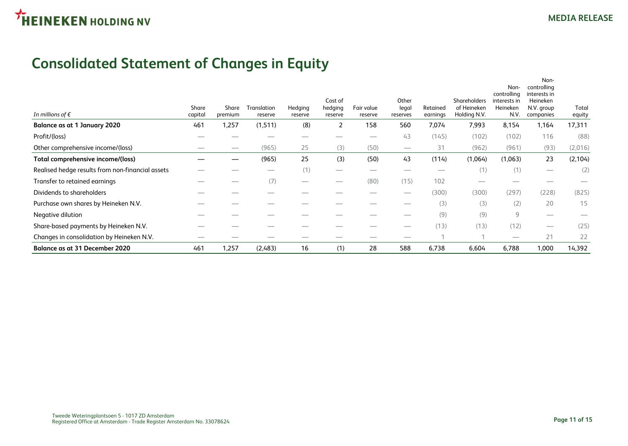## <span id="page-10-0"></span>**Consolidated Statement of Changes in Equity**

| In millions of $\epsilon$                        | Share<br>capital | Share<br>premium               | Translation<br>reserve          | Hedging<br>reserve | Cost of<br>hedging<br>reserve | Fair value<br>reserve | Other<br>legal<br>reserves      | Retained<br>earnings           | <b>Shareholders</b><br>of Heineken<br>Holding N.V. | Non-<br>controlling<br>interests in<br>Heineken<br>N.V. | Non-<br>controlling<br>interests in<br><b>Heineken</b><br>N.V. group<br>companies | Total<br>equity |
|--------------------------------------------------|------------------|--------------------------------|---------------------------------|--------------------|-------------------------------|-----------------------|---------------------------------|--------------------------------|----------------------------------------------------|---------------------------------------------------------|-----------------------------------------------------------------------------------|-----------------|
| Balance as at 1 January 2020                     | 461              | 1,257                          | (1,511)                         | (8)                | 2                             | 158                   | 560                             | 7,074                          | 7,993                                              | 8,154                                                   | 1,164                                                                             | 17,311          |
| Profit/(loss)                                    |                  |                                |                                 |                    |                               |                       | 43                              | (145)                          | (102)                                              | (102)                                                   | 116                                                                               | (88)            |
| Other comprehensive income/(loss)                | _                | $\overbrace{\hspace{25mm}}^{}$ | (965)                           | 25                 | (3)                           | (50)                  | $\hspace{0.1mm}-\hspace{0.1mm}$ | 31                             | (962)                                              | (961)                                                   | (93)                                                                              | (2,016)         |
| Total comprehensive income/(loss)                |                  |                                | (965)                           | 25                 | (3)                           | (50)                  | 43                              | (114)                          | (1,064)                                            | (1,063)                                                 | 23                                                                                | (2, 104)        |
| Realised hedge results from non-financial assets |                  |                                | $\hspace{0.1mm}-\hspace{0.1mm}$ | (1)                |                               |                       | $\overbrace{\hspace{25mm}}^{}$  | $\overbrace{\hspace{25mm}}^{}$ | (1)                                                | (1)                                                     | $\hspace{0.05cm}$                                                                 | (2)             |
| Transfer to retained earnings                    |                  |                                | (7)                             |                    |                               | (80)                  | (15)                            | 102                            | $\overline{\phantom{a}}$                           |                                                         |                                                                                   |                 |
| Dividends to shareholders                        |                  |                                |                                 |                    |                               |                       | $\overbrace{\hspace{25mm}}^{}$  | (300)                          | (300)                                              | (297)                                                   | (228)                                                                             | (825)           |
| Purchase own shares by Heineken N.V.             |                  |                                |                                 |                    |                               |                       |                                 | (3)                            | (3)                                                | (2)                                                     | 20                                                                                | 15              |
| Negative dilution                                |                  |                                |                                 |                    |                               |                       | _                               | (9)                            | (9)                                                | 9                                                       | $\overbrace{\hspace{25mm}}^{}$                                                    |                 |
| Share-based payments by Heineken N.V.            |                  |                                |                                 |                    |                               |                       |                                 | (13)                           | (13)                                               | (12)                                                    | $\overbrace{\qquad \qquad }^{}$                                                   | (25)            |
| Changes in consolidation by Heineken N.V.        |                  |                                |                                 |                    |                               |                       | _                               |                                |                                                    | _                                                       | 21                                                                                | 22              |
| Balance as at 31 December 2020                   | 461              | 1,257                          | (2,483)                         | 16                 | (1)                           | 28                    | 588                             | 6,738                          | 6,604                                              | 6,788                                                   | 1,000                                                                             | 14,392          |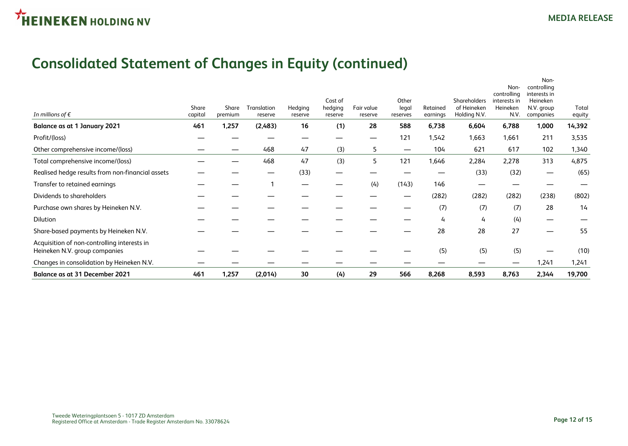## **Consolidated Statement of Changes in Equity (continued)**

| <b>Balance as at 31 December 2021</b>                                        | 461              | 1,257            | (2,014)                | 30                 | (4)                           | 29                    | 566                        | 8,268                | 8,593                                       | 8,763                                                   | 2,344                                                                      | 19,700          |
|------------------------------------------------------------------------------|------------------|------------------|------------------------|--------------------|-------------------------------|-----------------------|----------------------------|----------------------|---------------------------------------------|---------------------------------------------------------|----------------------------------------------------------------------------|-----------------|
| Changes in consolidation by Heineken N.V.                                    |                  |                  |                        |                    |                               |                       |                            |                      |                                             |                                                         | 1,241                                                                      | 1,241           |
| Acquisition of non-controlling interests in<br>Heineken N.V. group companies |                  |                  |                        |                    |                               |                       |                            | (5)                  | (5)                                         | (5)                                                     |                                                                            | (10)            |
| Share-based payments by Heineken N.V.                                        |                  |                  |                        |                    |                               |                       |                            | 28                   | 28                                          | 27                                                      |                                                                            | 55              |
| Dilution                                                                     |                  |                  |                        |                    |                               |                       |                            | 4                    | 4                                           | (4)                                                     | $\overline{\phantom{0}}$                                                   |                 |
| Purchase own shares by Heineken N.V.                                         |                  |                  |                        |                    |                               |                       |                            | (7)                  | (7)                                         | (7)                                                     | 28                                                                         | 14              |
| Dividends to shareholders                                                    |                  |                  |                        |                    |                               |                       | —                          | (282)                | (282)                                       | (282)                                                   | (238)                                                                      | (802)           |
| Transfer to retained earnings                                                |                  |                  |                        |                    |                               | (4)                   | (143)                      | 146                  |                                             |                                                         |                                                                            |                 |
| Realised hedge results from non-financial assets                             |                  |                  |                        | (33)               |                               |                       |                            |                      | (33)                                        | (32)                                                    | —                                                                          | (65)            |
| Total comprehensive income/(loss)                                            |                  |                  | 468                    | 47                 | (3)                           | 5                     | 121                        | 1,646                | 2,284                                       | 2,278                                                   | 313                                                                        | 4,875           |
| Other comprehensive income/(loss)                                            |                  |                  | 468                    | 47                 | (3)                           | 5                     | $\hspace{0.05cm}$          | 104                  | 621                                         | 617                                                     | 102                                                                        | 1,340           |
| Profit/(loss)                                                                |                  |                  |                        |                    |                               |                       | 121                        | 1,542                | 1,663                                       | 1,661                                                   | 211                                                                        | 3,535           |
| <b>Balance as at 1 January 2021</b>                                          | 461              | 1,257            | (2,483)                | 16                 | (1)                           | 28                    | 588                        | 6,738                | 6,604                                       | 6,788                                                   | 1,000                                                                      | 14,392          |
| In millions of $\epsilon$                                                    | Share<br>capital | Share<br>premium | Translation<br>reserve | Hedging<br>reserve | Cost of<br>hedging<br>reserve | Fair value<br>reserve | Other<br>legal<br>reserves | Retained<br>earnings | Shareholders<br>of Heineken<br>Holding N.V. | Non-<br>controlling<br>interests in<br>Heineken<br>N.V. | Non-<br>controlling<br>interests in<br>Heineken<br>N.V. group<br>companies | Total<br>equity |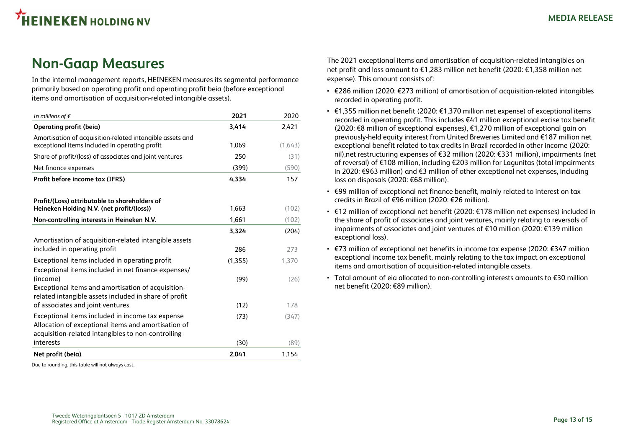### <span id="page-12-0"></span>**Non-Gaap Measures**

In the internal management reports, HEINEKEN measures its segmental performance primarily based on operating profit and operating profit beia (before exceptional items and amortisation of acquisition-related intangible assets).

| In millions of $\epsilon$                                                                                                                                     | 2021         | 2020         |
|---------------------------------------------------------------------------------------------------------------------------------------------------------------|--------------|--------------|
| Operating profit (beia)                                                                                                                                       | 3,414        | 2,421        |
| Amortisation of acquisition-related intangible assets and<br>exceptional items included in operating profit                                                   | 1,069        | (1,643)      |
| Share of profit/(loss) of associates and joint ventures                                                                                                       | 250          | (31)         |
| Net finance expenses                                                                                                                                          | (399)        | (590)        |
| Profit before income tax (IFRS)                                                                                                                               | 4,334        | 157          |
| Profit/(Loss) attributable to shareholders of                                                                                                                 | 1,663        | (102)        |
| Heineken Holding N.V. (net profit/(loss))                                                                                                                     | 1,661        | (102)        |
| Non-controlling interests in Heineken N.V.                                                                                                                    |              |              |
| Amortisation of acquisition-related intangible assets<br>included in operating profit                                                                         | 3,324<br>286 | (204)<br>273 |
| Exceptional items included in operating profit<br>Exceptional items included in net finance expenses/                                                         | (1,355)      | 1,370        |
| (income)<br>Exceptional items and amortisation of acquisition-<br>related intangible assets included in share of profit                                       | (99)         | (26)         |
| of associates and joint ventures                                                                                                                              | (12)         | 178          |
| Exceptional items included in income tax expense<br>Allocation of exceptional items and amortisation of<br>acquisition-related intangibles to non-controlling | (73)         | (347)        |
| interests                                                                                                                                                     | (30)         | (89)         |
| Net profit (beia)                                                                                                                                             | 2,041        | 1,154        |

Due to rounding, this table will not always cast.

The 2021 exceptional items and amortisation of acquisition-related intangibles on net profit and loss amount to €1,283 million net benefit (2020: €1,358 million net expense). This amount consists of:

- €286 million (2020: €273 million) of amortisation of acquisition-related intangibles recorded in operating profit.
- $\cdot$  €1,355 million net benefit (2020: €1,370 million net expense) of exceptional items recorded in operating profit. This includes €41 million exceptional excise tax benefit (2020: €8 million of exceptional expenses), €1,270 million of exceptional gain on previously-held equity interest from United Breweries Limited and €187 million net exceptional benefit related to tax credits in Brazil recorded in other income (2020: nil),net restructuring expenses of €32 million (2020: €331 million), impairments (net of reversal) of €108 million, including €203 million for Lagunitas (total impairments in 2020: €963 million) and €3 million of other exceptional net expenses, including loss on disposals (2020: €68 million).
- €99 million of exceptional net finance benefit, mainly related to interest on tax credits in Brazil of €96 million (2020: €26 million).
- €12 million of exceptional net benefit (2020: €178 million net expenses) included in the share of profit of associates and joint ventures, mainly relating to reversals of impairments of associates and joint ventures of €10 million (2020: €139 million exceptional loss).
- €73 million of exceptional net benefits in income tax expense (2020: €347 million exceptional income tax benefit, mainly relating to the tax impact on exceptional items and amortisation of acquisition-related intangible assets.
- Total amount of eia allocated to non-controlling interests amounts to €30 million net benefit (2020: €89 million).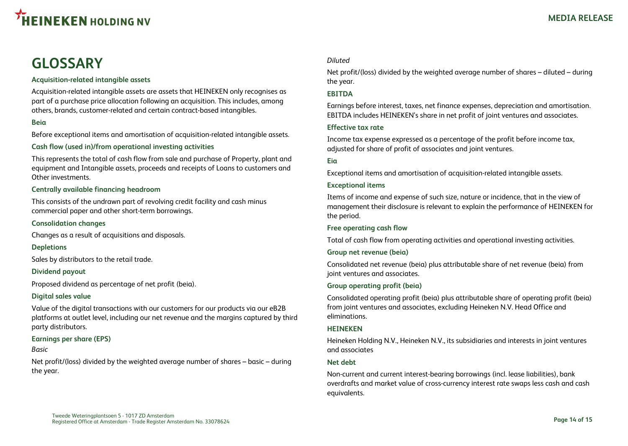<span id="page-13-0"></span>

### **GLOSSARY**

#### **Acquisition-related intangible assets**

Acquisition-related intangible assets are assets that HEINEKEN only recognises as part of a purchase price allocation following an acquisition. This includes, among others, brands, customer-related and certain contract-based intangibles.

#### **Beia**

Before exceptional items and amortisation of acquisition-related intangible assets.

#### **Cash flow (used in)/from operational investing activities**

This represents the total of cash flow from sale and purchase of Property, plant and equipment and Intangible assets, proceeds and receipts of Loans to customers and Other investments.

#### **Centrally available financing headroom**

This consists of the undrawn part of revolving credit facility and cash minus commercial paper and other short-term borrowings.

#### **Consolidation changes**

Changes as a result of acquisitions and disposals.

#### **Depletions**

Sales by distributors to the retail trade.

#### **Dividend payout**

Proposed dividend as percentage of net profit (beia).

#### **Digital sales value**

Value of the digital transactions with our customers for our products via our eB2B platforms at outlet level, including our net revenue and the margins captured by third party distributors.

#### **Earnings per share (EPS)**

#### *Basic*

Net profit/(loss) divided by the weighted average number of shares – basic – during the year.

#### *Diluted*

Net profit/(loss) divided by the weighted average number of shares – diluted – during the year.

#### **EBITDA**

Earnings before interest, taxes, net finance expenses, depreciation and amortisation. EBITDA includes HEINEKEN's share in net profit of joint ventures and associates.

#### **Effective tax rate**

Income tax expense expressed as a percentage of the profit before income tax, adjusted for share of profit of associates and joint ventures.

#### **Eia**

Exceptional items and amortisation of acquisition-related intangible assets.

#### **Exceptional items**

Items of income and expense of such size, nature or incidence, that in the view of management their disclosure is relevant to explain the performance of HEINEKEN for the period.

#### **Free operating cash flow**

Total of cash flow from operating activities and operational investing activities.

#### **Group net revenue (beia)**

Consolidated net revenue (beia) plus attributable share of net revenue (beia) from joint ventures and associates.

#### **Group operating profit (beia)**

Consolidated operating profit (beia) plus attributable share of operating profit (beia) from joint ventures and associates, excluding Heineken N.V. Head Office and eliminations.

#### **HEINEKEN**

Heineken Holding N.V., Heineken N.V., its subsidiaries and interests in joint ventures and associates

#### **Net debt**

Non-current and current interest-bearing borrowings (incl. lease liabilities), bank overdrafts and market value of cross-currency interest rate swaps less cash and cash equivalents.